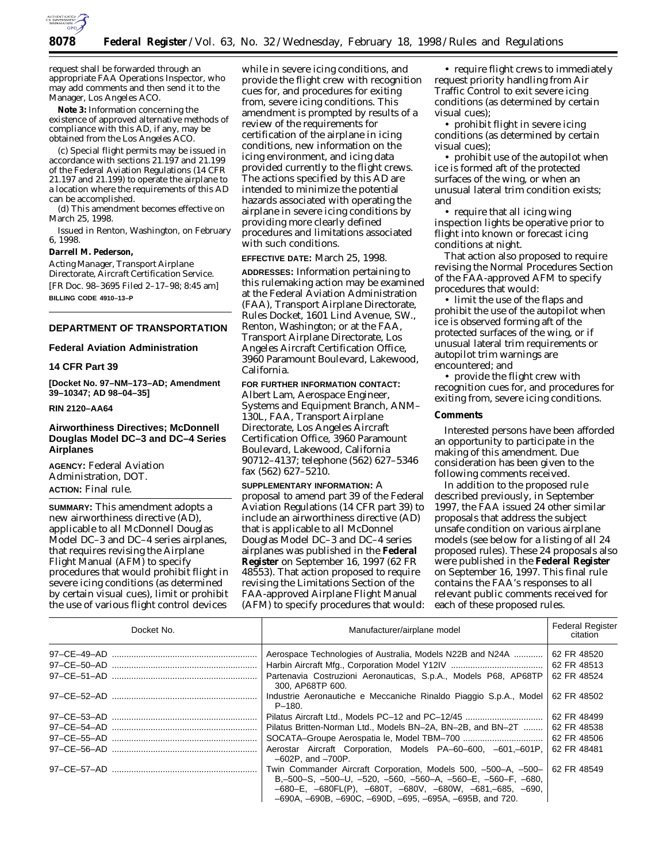

request shall be forwarded through an appropriate FAA Operations Inspector, who may add comments and then send it to the Manager, Los Angeles ACO.

**Note 3:** Information concerning the existence of approved alternative methods of compliance with this AD, if any, may be obtained from the Los Angeles ACO.

(c) Special flight permits may be issued in accordance with sections 21.197 and 21.199 of the Federal Aviation Regulations (14 CFR 21.197 and 21.199) to operate the airplane to a location where the requirements of this AD can be accomplished.

(d) This amendment becomes effective on March 25, 1998.

Issued in Renton, Washington, on February 6, 1998.

#### **Darrell M. Pederson,**

*Acting Manager, Transport Airplane Directorate, Aircraft Certification Service.* [FR Doc. 98–3695 Filed 2–17–98; 8:45 am] **BILLING CODE 4910–13–P**

# **DEPARTMENT OF TRANSPORTATION**

# **Federal Aviation Administration**

# **14 CFR Part 39**

**[Docket No. 97–NM–173–AD; Amendment 39–10347; AD 98–04–35]**

### **RIN 2120–AA64**

# **Airworthiness Directives; McDonnell Douglas Model DC–3 and DC–4 Series Airplanes**

**AGENCY:** Federal Aviation Administration, DOT. **ACTION:** Final rule.

**SUMMARY:** This amendment adopts a new airworthiness directive (AD), applicable to all McDonnell Douglas Model DC–3 and DC–4 series airplanes, that requires revising the Airplane Flight Manual (AFM) to specify procedures that would prohibit flight in severe icing conditions (as determined by certain visual cues), limit or prohibit the use of various flight control devices

while in severe icing conditions, and provide the flight crew with recognition cues for, and procedures for exiting from, severe icing conditions. This amendment is prompted by results of a review of the requirements for certification of the airplane in icing conditions, new information on the icing environment, and icing data provided currently to the flight crews. The actions specified by this AD are intended to minimize the potential hazards associated with operating the airplane in severe icing conditions by providing more clearly defined procedures and limitations associated with such conditions.

**EFFECTIVE DATE:** March 25, 1998.

**ADDRESSES:** Information pertaining to this rulemaking action may be examined at the Federal Aviation Administration (FAA), Transport Airplane Directorate, Rules Docket, 1601 Lind Avenue, SW., Renton, Washington; or at the FAA, Transport Airplane Directorate, Los Angeles Aircraft Certification Office, 3960 Paramount Boulevard, Lakewood, California.

# **FOR FURTHER INFORMATION CONTACT:**

Albert Lam, Aerospace Engineer, Systems and Equipment Branch, ANM– 130L, FAA, Transport Airplane Directorate, Los Angeles Aircraft Certification Office, 3960 Paramount Boulevard, Lakewood, California 90712–4137; telephone (562) 627–5346 fax (562) 627–5210.

**SUPPLEMENTARY INFORMATION:** A proposal to amend part 39 of the Federal Aviation Regulations (14 CFR part 39) to include an airworthiness directive (AD) that is applicable to all McDonnel Douglas Model DC–3 and DC–4 series airplanes was published in the **Federal Register** on September 16, 1997 (62 FR 48553). That action proposed to require revising the Limitations Section of the FAA-approved Airplane Flight Manual (AFM) to specify procedures that would:

• require flight crews to immediately request priority handling from Air Traffic Control to exit severe icing conditions (as determined by certain visual cues);

• prohibit flight in severe icing conditions (as determined by certain visual cues);

• prohibit use of the autopilot when ice is formed aft of the protected surfaces of the wing, or when an unusual lateral trim condition exists; and

• require that all icing wing inspection lights be operative prior to flight into known or forecast icing conditions at night.

That action also proposed to require revising the Normal Procedures Section of the FAA-approved AFM to specify procedures that would:

• limit the use of the flaps and prohibit the use of the autopilot when ice is observed forming aft of the protected surfaces of the wing, or if unusual lateral trim requirements or autopilot trim warnings are encountered; and

• provide the flight crew with recognition cues for, and procedures for exiting from, severe icing conditions.

### **Comments**

Interested persons have been afforded an opportunity to participate in the making of this amendment. Due consideration has been given to the following comments received.

In addition to the proposed rule described previously, in September 1997, the FAA issued 24 other similar proposals that address the subject unsafe condition on various airplane models (see below for a listing of all 24 proposed rules). These 24 proposals also were published in the **Federal Register** on September 16, 1997. This final rule contains the FAA's responses to all relevant public comments received for each of these proposed rules.

| Docket No.                        | Manufacturer/airplane model                                                                                                                                                                                                                                                                                        | <b>Federal Register</b><br>citation       |
|-----------------------------------|--------------------------------------------------------------------------------------------------------------------------------------------------------------------------------------------------------------------------------------------------------------------------------------------------------------------|-------------------------------------------|
|                                   | Aerospace Technologies of Australia, Models N22B and N24A<br>Partenavia Costruzioni Aeronauticas, S.p.A., Models P68, AP68TP<br>300. AP68TP 600.                                                                                                                                                                   | 62 FR 48520<br>62 FR 48513<br>62 FR 48524 |
|                                   | Industrie Aeronautiche e Meccaniche Rinaldo Piaggio S.p.A., Model<br>$P-180.$                                                                                                                                                                                                                                      | 62 FR 48502                               |
|                                   | Pilatus Aircraft Ltd., Models PC-12 and PC-12/45                                                                                                                                                                                                                                                                   | 62 FR 48499                               |
|                                   | Pilatus Britten-Norman Ltd., Models BN-2A, BN-2B, and BN-2T                                                                                                                                                                                                                                                        | 62 FR 48538                               |
| 97–CE–55–AD ……………………………………………………… |                                                                                                                                                                                                                                                                                                                    | 62 FR 48506                               |
|                                   | Aerostar Aircraft Corporation, Models PA-60-600, -601,-601P,<br>$-602P$ , and $-700P$ .                                                                                                                                                                                                                            | 62 FR 48481                               |
|                                   | Twin Commander Aircraft Corporation, Models 500, -500-A, -500-<br>$B, -500 - S, -500 - U, -520, -560, -560 - A, -560 - E, -560 - F, -680,$<br>$-680 - E$ , $-680FL(P)$ , $-680T$ , $-680V$ , $-680W$ , $-681$ , $-685$ , $-690$ ,<br>$-690A$ , $-690B$ , $-690C$ , $-690D$ , $-695$ , $-695A$ , $-695B$ , and 720. | 62 FR 48549                               |

–690A, –690B, –690C, –690D, –695, –695A, –695B, and 720.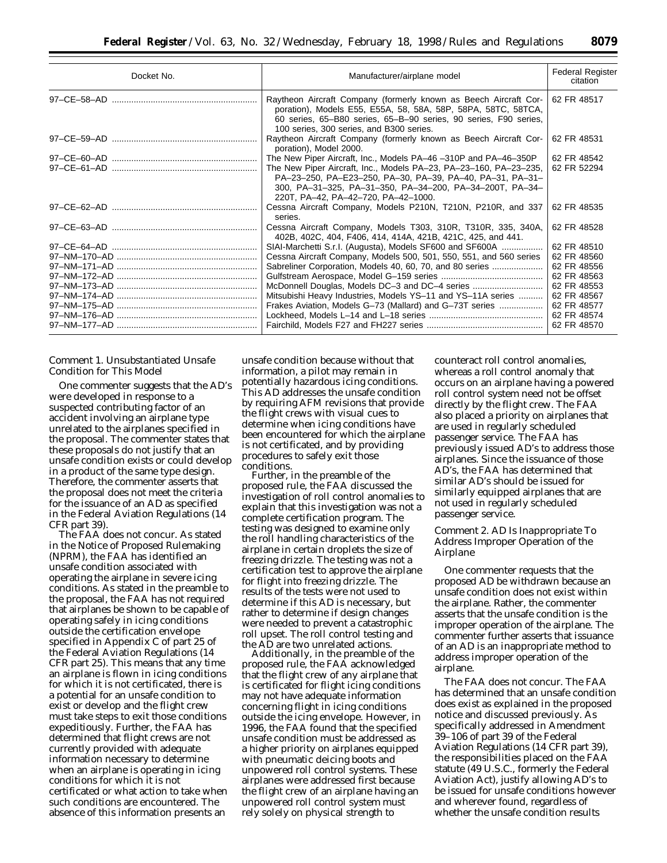| Docket No. | Manufacturer/airplane model                                                                                                                                                                                                                       | <b>Federal Register</b><br>citation |
|------------|---------------------------------------------------------------------------------------------------------------------------------------------------------------------------------------------------------------------------------------------------|-------------------------------------|
|            | Raytheon Aircraft Company (formerly known as Beech Aircraft Cor-<br>poration), Models E55, E55A, 58, 58A, 58P, 58PA, 58TC, 58TCA,<br>60 series, 65–B80 series, 65–B–90 series, 90 series, F90 series,<br>100 series, 300 series, and B300 series. | 62 FR 48517                         |
|            | Raytheon Aircraft Company (formerly known as Beech Aircraft Cor-<br>poration), Model 2000.                                                                                                                                                        | 62 FR 48531                         |
|            | The New Piper Aircraft, Inc., Models PA-46-310P and PA-46-350P                                                                                                                                                                                    | 62 FR 48542                         |
|            | The New Piper Aircraft, Inc., Models PA-23, PA-23-160, PA-23-235,<br>PA-23-250, PA-E23-250, PA-30, PA-39, PA-40, PA-31, PA-31-<br>300, PA-31-325, PA-31-350, PA-34-200, PA-34-200T, PA-34-<br>220T, PA-42, PA-42-720, PA-42-1000.                 | 62 FR 52294                         |
|            | Cessna Aircraft Company, Models P210N, T210N, P210R, and 337<br>series.                                                                                                                                                                           | 62 FR 48535                         |
|            | Cessna Aircraft Company, Models T303, 310R, T310R, 335, 340A,<br>402B, 402C, 404, F406, 414, 414A, 421B, 421C, 425, and 441.                                                                                                                      | 62 FR 48528                         |
|            | SIAI-Marchetti S.r.l. (Augusta), Models SF600 and SF600A                                                                                                                                                                                          | 62 FR 48510                         |
|            | Cessna Aircraft Company, Models 500, 501, 550, 551, and 560 series                                                                                                                                                                                | 62 FR 48560                         |
|            | Sabreliner Corporation, Models 40, 60, 70, and 80 series                                                                                                                                                                                          | 62 FR 48556                         |
|            |                                                                                                                                                                                                                                                   | 62 FR 48563                         |
|            | McDonnell Douglas, Models DC-3 and DC-4 series                                                                                                                                                                                                    | 62 FR 48553                         |
|            | Mitsubishi Heavy Industries, Models YS-11 and YS-11A series                                                                                                                                                                                       | 62 FR 48567                         |
|            | Frakes Aviation, Models G-73 (Mallard) and G-73T series                                                                                                                                                                                           | 62 FR 48577                         |
|            |                                                                                                                                                                                                                                                   | 62 FR 48574<br>62 FR 48570          |
|            |                                                                                                                                                                                                                                                   |                                     |

### *Comment 1. Unsubstantiated Unsafe Condition for This Model*

One commenter suggests that the AD's were developed in response to a suspected contributing factor of an accident involving an airplane type unrelated to the airplanes specified in the proposal. The commenter states that these proposals do not justify that an unsafe condition exists or could develop in a product of the same type design. Therefore, the commenter asserts that the proposal does not meet the criteria for the issuance of an AD as specified in the Federal Aviation Regulations (14 CFR part 39).

The FAA does not concur. As stated in the Notice of Proposed Rulemaking (NPRM), the FAA has identified an unsafe condition associated with operating the airplane in severe icing conditions. As stated in the preamble to the proposal, the FAA has not required that airplanes be shown to be capable of operating safely in icing conditions outside the certification envelope specified in Appendix C of part 25 of the Federal Aviation Regulations (14 CFR part 25). This means that any time an airplane is flown in icing conditions for which it is not certificated, there is a potential for an unsafe condition to exist or develop and the flight crew must take steps to exit those conditions expeditiously. Further, the FAA has determined that flight crews are not currently provided with adequate information necessary to determine when an airplane is operating in icing conditions for which it is not certificated or what action to take when such conditions are encountered. The absence of this information presents an

unsafe condition because without that information, a pilot may remain in potentially hazardous icing conditions. This AD addresses the unsafe condition by requiring AFM revisions that provide the flight crews with visual cues to determine when icing conditions have been encountered for which the airplane is not certificated, and by providing procedures to safely exit those conditions.

Further, in the preamble of the proposed rule, the FAA discussed the investigation of roll control anomalies to explain that this investigation was not a complete certification program. The testing was designed to examine only the roll handling characteristics of the airplane in certain droplets the size of freezing drizzle. The testing was not a certification test to approve the airplane for flight into freezing drizzle. The results of the tests were not used to determine if this AD is necessary, but rather to determine if design changes were needed to prevent a catastrophic roll upset. The roll control testing and the AD are two unrelated actions.

Additionally, in the preamble of the proposed rule, the FAA acknowledged that the flight crew of any airplane that is certificated for flight icing conditions may not have adequate information concerning flight in icing conditions outside the icing envelope. However, in 1996, the FAA found that the specified unsafe condition must be addressed as a higher priority on airplanes equipped with pneumatic deicing boots and unpowered roll control systems. These airplanes were addressed first because the flight crew of an airplane having an unpowered roll control system must rely solely on physical strength to

counteract roll control anomalies, whereas a roll control anomaly that occurs on an airplane having a powered roll control system need not be offset directly by the flight crew. The FAA also placed a priority on airplanes that are used in regularly scheduled passenger service. The FAA has previously issued AD's to address those airplanes. Since the issuance of those AD's, the FAA has determined that similar AD's should be issued for similarly equipped airplanes that are not used in regularly scheduled passenger service.

# *Comment 2. AD Is Inappropriate To Address Improper Operation of the Airplane*

One commenter requests that the proposed AD be withdrawn because an unsafe condition does not exist within the airplane. Rather, the commenter asserts that the unsafe condition is the improper operation of the airplane. The commenter further asserts that issuance of an AD is an inappropriate method to address improper operation of the airplane.

The FAA does not concur. The FAA has determined that an unsafe condition does exist as explained in the proposed notice and discussed previously. As specifically addressed in Amendment 39–106 of part 39 of the Federal Aviation Regulations (14 CFR part 39), the responsibilities placed on the FAA statute (49 U.S.C., formerly the Federal Aviation Act), justify allowing AD's to be issued for unsafe conditions however and wherever found, regardless of whether the unsafe condition results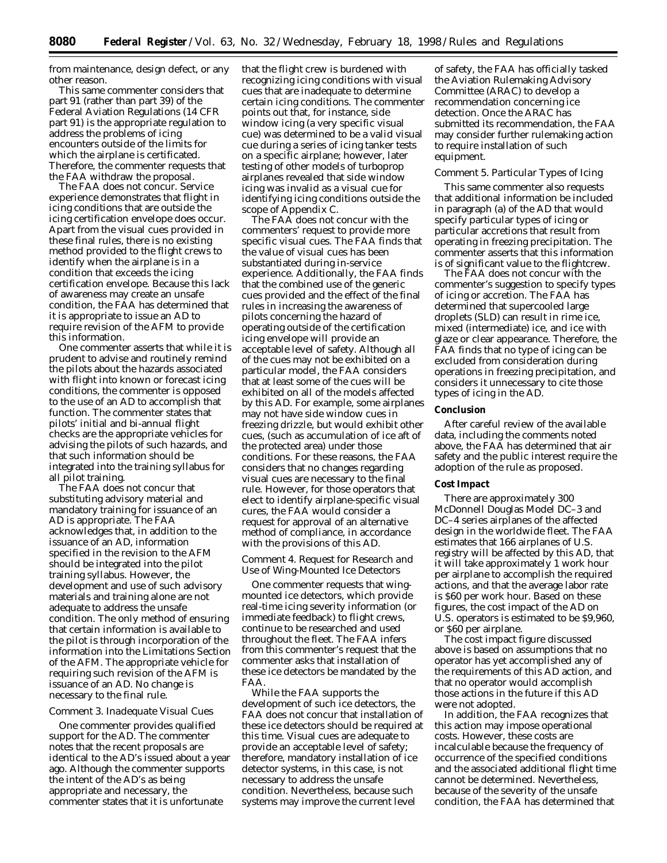from maintenance, design defect, or any other reason.

This same commenter considers that part 91 (rather than part 39) of the Federal Aviation Regulations (14 CFR part 91) is the appropriate regulation to address the problems of icing encounters outside of the limits for which the airplane is certificated. Therefore, the commenter requests that the FAA withdraw the proposal.

The FAA does not concur. Service experience demonstrates that flight in icing conditions that are outside the icing certification envelope does occur. Apart from the visual cues provided in these final rules, there is no existing method provided to the flight crews to identify when the airplane is in a condition that exceeds the icing certification envelope. Because this lack of awareness may create an unsafe condition, the FAA has determined that it is appropriate to issue an AD to require revision of the AFM to provide this information.

One commenter asserts that while it is prudent to advise and routinely remind the pilots about the hazards associated with flight into known or forecast icing conditions, the commenter is opposed to the use of an AD to accomplish that function. The commenter states that pilots' initial and bi-annual flight checks are the appropriate vehicles for advising the pilots of such hazards, and that such information should be integrated into the training syllabus for all pilot training.

The FAA does not concur that substituting advisory material and mandatory training for issuance of an AD is appropriate. The FAA acknowledges that, in addition to the issuance of an AD, information specified in the revision to the AFM should be integrated into the pilot training syllabus. However, the development and use of such advisory materials and training alone are not adequate to address the unsafe condition. The only method of ensuring that certain information is available to the pilot is through incorporation of the information into the Limitations Section of the AFM. The appropriate vehicle for requiring such revision of the AFM is issuance of an AD. No change is necessary to the final rule.

# *Comment 3. Inadequate Visual Cues*

One commenter provides qualified support for the AD. The commenter notes that the recent proposals are identical to the AD's issued about a year ago. Although the commenter supports the intent of the AD's as being appropriate and necessary, the commenter states that it is unfortunate

that the flight crew is burdened with recognizing icing conditions with visual cues that are inadequate to determine certain icing conditions. The commenter points out that, for instance, side window icing (a very specific visual cue) was determined to be a valid visual cue during a series of icing tanker tests on a specific airplane; however, later testing of other models of turboprop airplanes revealed that side window icing was invalid as a visual cue for identifying icing conditions outside the scope of Appendix C.

The FAA does not concur with the commenters' request to provide more specific visual cues. The FAA finds that the value of visual cues has been substantiated during in-service experience. Additionally, the FAA finds that the combined use of the generic cues provided and the effect of the final rules in increasing the awareness of pilots concerning the hazard of operating outside of the certification icing envelope will provide an acceptable level of safety. Although all of the cues may not be exhibited on a particular model, the FAA considers that at least some of the cues will be exhibited on all of the models affected by this AD. For example, some airplanes may not have side window cues in freezing drizzle, but would exhibit other cues, (such as accumulation of ice aft of the protected area) under those conditions. For these reasons, the FAA considers that no changes regarding visual cues are necessary to the final rule. However, for those operators that elect to identify airplane-specific visual cures, the FAA would consider a request for approval of an alternative method of compliance, in accordance with the provisions of this AD.

### *Comment 4. Request for Research and Use of Wing-Mounted Ice Detectors*

One commenter requests that wingmounted ice detectors, which provide real-time icing severity information (or immediate feedback) to flight crews, continue to be researched and used throughout the fleet. The FAA infers from this commenter's request that the commenter asks that installation of these ice detectors be mandated by the FAA.

While the FAA supports the development of such ice detectors, the FAA does not concur that installation of these ice detectors should be required at this time. Visual cues are adequate to provide an acceptable level of safety; therefore, mandatory installation of ice detector systems, in this case, is not necessary to address the unsafe condition. Nevertheless, because such systems may improve the current level

of safety, the FAA has officially tasked the Aviation Rulemaking Advisory Committee (ARAC) to develop a recommendation concerning ice detection. Once the ARAC has submitted its recommendation, the FAA may consider further rulemaking action to require installation of such equipment.

# *Comment 5. Particular Types of Icing*

This same commenter also requests that additional information be included in paragraph (a) of the AD that would specify particular types of icing or particular accretions that result from operating in freezing precipitation. The commenter asserts that this information is of significant value to the flightcrew.

The FAA does not concur with the commenter's suggestion to specify types of icing or accretion. The FAA has determined that supercooled large droplets (SLD) can result in rime ice, mixed (intermediate) ice, and ice with glaze or clear appearance. Therefore, the FAA finds that no type of icing can be excluded from consideration during operations in freezing precipitation, and considers it unnecessary to cite those types of icing in the AD.

#### **Conclusion**

After careful review of the available data, including the comments noted above, the FAA has determined that air safety and the public interest require the adoption of the rule as proposed.

#### **Cost Impact**

There are approximately 300 McDonnell Douglas Model DC–3 and DC–4 series airplanes of the affected design in the worldwide fleet. The FAA estimates that 166 airplanes of U.S. registry will be affected by this AD, that it will take approximately 1 work hour per airplane to accomplish the required actions, and that the average labor rate is \$60 per work hour. Based on these figures, the cost impact of the AD on U.S. operators is estimated to be \$9,960, or \$60 per airplane.

The cost impact figure discussed above is based on assumptions that no operator has yet accomplished any of the requirements of this AD action, and that no operator would accomplish those actions in the future if this AD were not adopted.

In addition, the FAA recognizes that this action may impose operational costs. However, these costs are incalculable because the frequency of occurrence of the specified conditions and the associated additional flight time cannot be determined. Nevertheless, because of the severity of the unsafe condition, the FAA has determined that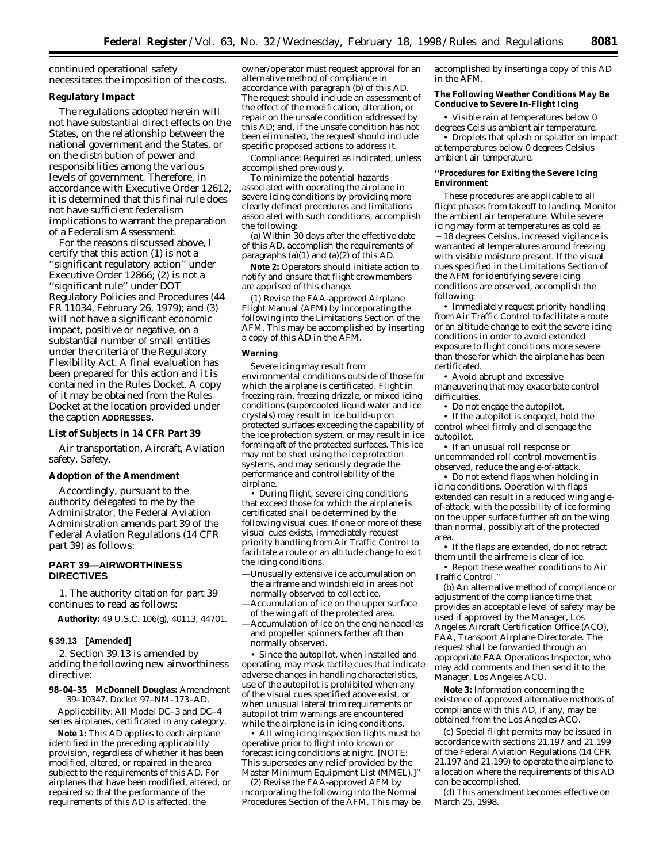continued operational safety necessitates the imposition of the costs.

## **Regulatory Impact**

The regulations adopted herein will not have substantial direct effects on the States, on the relationship between the national government and the States, or on the distribution of power and responsibilities among the various levels of government. Therefore, in accordance with Executive Order 12612, it is determined that this final rule does not have sufficient federalism implications to warrant the preparation of a Federalism Assessment.

For the reasons discussed above, I certify that this action (1) is not a 'significant regulatory action'' under Executive Order 12866; (2) is not a ''significant rule'' under DOT Regulatory Policies and Procedures (44 FR 11034, February 26, 1979); and (3) will not have a significant economic impact, positive or negative, on a substantial number of small entities under the criteria of the Regulatory Flexibility Act. A final evaluation has been prepared for this action and it is contained in the Rules Docket. A copy of it may be obtained from the Rules Docket at the location provided under the caption **ADDRESSES**.

#### **List of Subjects in 14 CFR Part 39**

Air transportation, Aircraft, Aviation safety, Safety.

#### **Adoption of the Amendment**

Accordingly, pursuant to the authority delegated to me by the Administrator, the Federal Aviation Administration amends part 39 of the Federal Aviation Regulations (14 CFR part 39) as follows:

### **PART 39—AIRWORTHINESS DIRECTIVES**

1. The authority citation for part 39 continues to read as follows:

**Authority:** 49 U.S.C. 106(g), 40113, 44701.

### **§ 39.13 [Amended]**

2. Section 39.13 is amended by adding the following new airworthiness directive:

**98–04–35 McDonnell Douglas:** Amendment 39–10347. Docket 97–NM–173–AD.

*Applicability:* All Model DC–3 and DC–4 series airplanes, certificated in any category.

**Note 1:** This AD applies to each airplane identified in the preceding applicability provision, regardless of whether it has been modified, altered, or repaired in the area subject to the requirements of this AD. For airplanes that have been modified, altered, or repaired so that the performance of the requirements of this AD is affected, the

owner/operator must request approval for an alternative method of compliance in accordance with paragraph (b) of this AD. The request should include an assessment of the effect of the modification, alteration, or repair on the unsafe condition addressed by this AD; and, if the unsafe condition has not been eliminated, the request should include specific proposed actions to address it.

*Compliance:* Required as indicated, unless accomplished previously.

To minimize the potential hazards associated with operating the airplane in severe icing conditions by providing more clearly defined procedures and limitations associated with such conditions, accomplish the following:

(a) Within 30 days after the effective date of this AD, accomplish the requirements of paragraphs  $(a)(1)$  and  $(a)(2)$  of this AD.

**Note 2:** Operators should initiate action to notify and ensure that flight crewmembers are apprised of this change.

(1) Revise the FAA-approved Airplane Flight Manual (AFM) by incorporating the following into the Limitations Section of the AFM. This may be accomplished by inserting a copy of this AD in the AFM.

#### **Warning**

Severe icing may result from environmental conditions outside of those for which the airplane is certificated. Flight in freezing rain, freezing drizzle, or mixed icing conditions (supercooled liquid water and ice crystals) may result in ice build-up on protected surfaces exceeding the capability of the ice protection system, or may result in ice forming aft of the protected surfaces. This ice may not be shed using the ice protection systems, and may seriously degrade the performance and controllability of the airplane.

• During flight, severe icing conditions that exceed those for which the airplane is certificated shall be determined by the following visual cues. If one or more of these visual cues exists, immediately request priority handling from Air Traffic Control to facilitate a route or an altitude change to exit the icing conditions.

—Unusually extensive ice accumulation on the airframe and windshield in areas not normally observed to collect ice.

—Accumulation of ice on the upper surface of the wing aft of the protected area.

—Accumulation of ice on the engine nacelles and propeller spinners farther aft than normally observed.

• Since the autopilot, when installed and operating, may mask tactile cues that indicate adverse changes in handling characteristics, use of the autopilot is prohibited when any of the visual cues specified above exist, or when unusual lateral trim requirements or autopilot trim warnings are encountered while the airplane is in icing conditions.

• All wing icing inspection lights must be operative prior to flight into known or forecast icing conditions at night. [NOTE: This supersedes any relief provided by the Master Minimum Equipment List (MMEL).]''

(2) Revise the FAA-approved AFM by incorporating the following into the Normal Procedures Section of the AFM. This may be accomplished by inserting a copy of this AD in the AFM.

### **The Following Weather Conditions May Be Conducive to Severe In-Flight Icing**

• Visible rain at temperatures below 0 degrees Celsius ambient air temperature.

• Droplets that splash or splatter on impact at temperatures below 0 degrees Celsius ambient air temperature.

### **''Procedures for Exiting the Severe Icing Environment**

These procedures are applicable to all flight phases from takeoff to landing. Monitor the ambient air temperature. While severe icing may form at temperatures as cold as  $-18$  degrees Celsius, increased vigilance is warranted at temperatures around freezing with visible moisture present. If the visual cues specified in the Limitations Section of the AFM for identifying severe icing conditions are observed, accomplish the following:

• Immediately request priority handling from Air Traffic Control to facilitate a route or an altitude change to exit the severe icing conditions in order to avoid extended exposure to flight conditions more severe than those for which the airplane has been certificated.

• Avoid abrupt and excessive maneuvering that may exacerbate control difficulties.

• Do not engage the autopilot.

• If the autopilot is engaged, hold the control wheel firmly and disengage the autopilot.

• If an unusual roll response or uncommanded roll control movement is observed, reduce the angle-of-attack.

• Do not extend flaps when holding in icing conditions. Operation with flaps extended can result in a reduced wing angleof-attack, with the possibility of ice forming on the upper surface further aft on the wing than normal, possibly aft of the protected area.

• If the flaps are extended, do not retract them until the airframe is clear of ice.

• Report these weather conditions to Air Traffic Control.''

(b) An alternative method of compliance or adjustment of the compliance time that provides an acceptable level of safety may be used if approved by the Manager, Los Angeles Aircraft Certification Office (ACO), FAA, Transport Airplane Directorate. The request shall be forwarded through an appropriate FAA Operations Inspector, who may add comments and then send it to the Manager, Los Angeles ACO.

**Note 3:** Information concerning the existence of approved alternative methods of compliance with this AD, if any, may be obtained from the Los Angeles ACO.

(c) Special flight permits may be issued in accordance with sections 21.197 and 21.199 of the Federal Aviation Regulations (14 CFR 21.197 and 21.199) to operate the airplane to a location where the requirements of this AD can be accomplished.

(d) This amendment becomes effective on March 25, 1998.